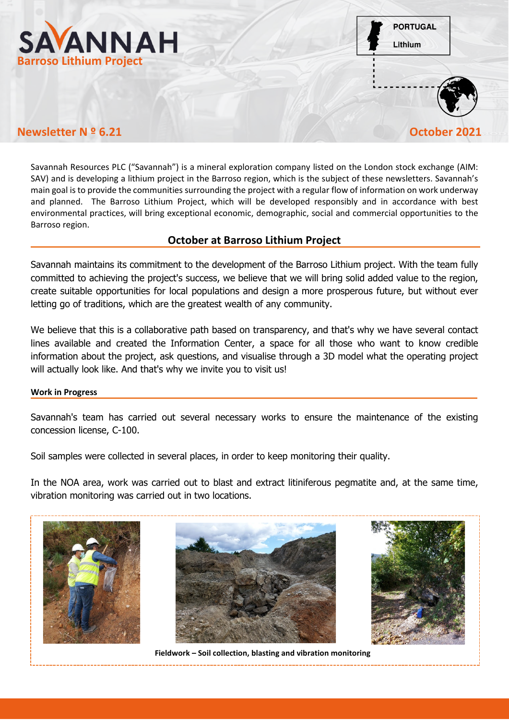

**PORTUGAL** Lithium



# **Newsletter N º 6.21 October 2021**

Savannah Resources PLC ("Savannah") is a mineral exploration company listed on the London stock exchange (AIM: SAV) and is developing a lithium project in the Barroso region, which is the subject of these newsletters. Savannah's main goal is to provide the communities surrounding the project with a regular flow of information on work underway and planned. The Barroso Lithium Project, which will be developed responsibly and in accordance with best environmental practices, will bring exceptional economic, demographic, social and commercial opportunities to the Barroso region.

# **October at Barroso Lithium Project**

Savannah maintains its commitment to the development of the Barroso Lithium project. With the team fully committed to achieving the project's success, we believe that we will bring solid added value to the region, create suitable opportunities for local populations and design a more prosperous future, but without ever letting go of traditions, which are the greatest wealth of any community.

We believe that this is a collaborative path based on transparency, and that's why we have several contact lines available and created the Information Center, a space for all those who want to know credible information about the project, ask questions, and visualise through a 3D model what the operating project will actually look like. And that's why we invite you to visit us!

# **Work in Progress**

Savannah's team has carried out several necessary works to ensure the maintenance of the existing concession license, C-100.

Soil samples were collected in several places, in order to keep monitoring their quality.

In the NOA area, work was carried out to blast and extract litiniferous pegmatite and, at the same time, vibration monitoring was carried out in two locations.







**Fieldwork – Soil collection, blasting and vibration monitoring**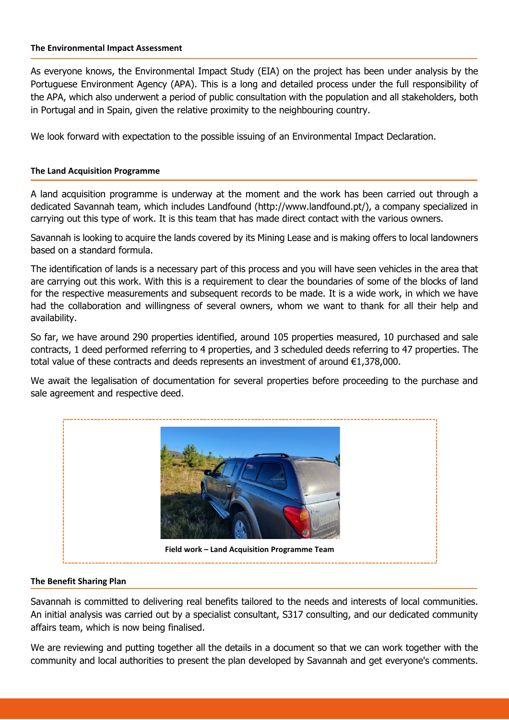### **The Environmental Impact Assessment**

As everyone knows, the Environmental Impact Study (EIA) on the project has been under analysis by the Portuguese Environment Agency (APA). This is a long and detailed process under the full responsibility of the APA, which also underwent a period of public consultation with the population and all stakeholders, both in Portugal and in Spain, given the relative proximity to the neighbouring country.

We look forward with expectation to the possible issuing of an Environmental Impact Declaration.

## **The Land Acquisition Programme**

A land acquisition programme is underway at the moment and the work has been carried out through a dedicated Savannah team, which includes Landfound (http://www.landfound.pt/), a company specialized in carrying out this type of work. It is this team that has made direct contact with the various owners.

Savannah is looking to acquire the lands covered by its Mining Lease and is making offers to local landowners based on a standard formula.

The identification of lands is a necessary part of this process and you will have seen vehicles in the area that are carrying out this work. With this is a requirement to clear the boundaries of some of the blocks of land for the respective measurements and subsequent records to be made. It is a wide work, in which we have had the collaboration and willingness of several owners, whom we want to thank for all their help and availability.

So far, we have around 290 properties identified, around 105 properties measured, 10 purchased and sale contracts, 1 deed performed referring to 4 properties, and 3 scheduled deeds referring to 47 properties. The total value of these contracts and deeds represents an investment of around €1,378,000.

We await the legalisation of documentation for several properties before proceeding to the purchase and sale agreement and respective deed.



# **The Benefit Sharing Plan**

Savannah is committed to delivering real benefits tailored to the needs and interests of local communities. An initial analysis was carried out by a specialist consultant, S317 consulting, and our dedicated community affairs team, which is now being finalised.

We are reviewing and putting together all the details in a document so that we can work together with the community and local authorities to present the plan developed by Savannah and get everyone's comments.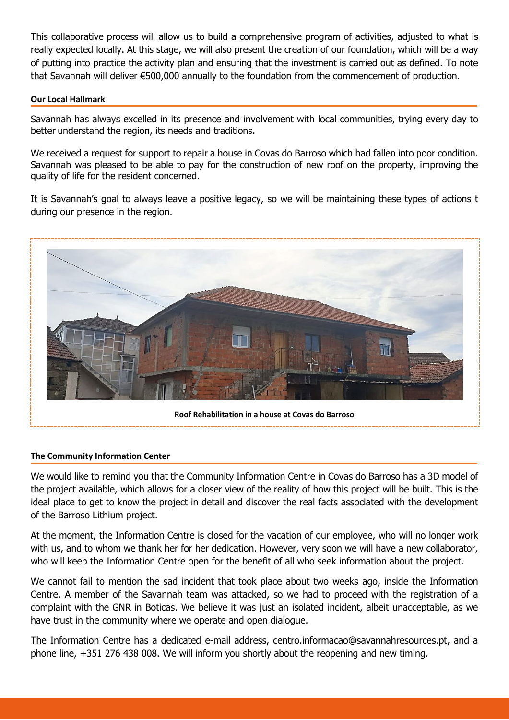This collaborative process will allow us to build a comprehensive program of activities, adjusted to what is really expected locally. At this stage, we will also present the creation of our foundation, which will be a way of putting into practice the activity plan and ensuring that the investment is carried out as defined. To note that Savannah will deliver €500,000 annually to the foundation from the commencement of production.

## **Our Local Hallmark**

Savannah has always excelled in its presence and involvement with local communities, trying every day to better understand the region, its needs and traditions.

We received a request for support to repair a house in Covas do Barroso which had fallen into poor condition. Savannah was pleased to be able to pay for the construction of new roof on the property, improving the quality of life for the resident concerned.

It is Savannah's goal to always leave a positive legacy, so we will be maintaining these types of actions t during our presence in the region.



### **The Community Information Center**

We would like to remind you that the Community Information Centre in Covas do Barroso has a 3D model of the project available, which allows for a closer view of the reality of how this project will be built. This is the ideal place to get to know the project in detail and discover the real facts associated with the development of the Barroso Lithium project.

At the moment, the Information Centre is closed for the vacation of our employee, who will no longer work with us, and to whom we thank her for her dedication. However, very soon we will have a new collaborator, who will keep the Information Centre open for the benefit of all who seek information about the project.

We cannot fail to mention the sad incident that took place about two weeks ago, inside the Information Centre. A member of the Savannah team was attacked, so we had to proceed with the registration of a complaint with the GNR in Boticas. We believe it was just an isolated incident, albeit unacceptable, as we have trust in the community where we operate and open dialogue.

The Information Centre has a dedicated e-mail address, centro.informacao@savannahresources.pt, and a phone line, +351 276 438 008. We will inform you shortly about the reopening and new timing.